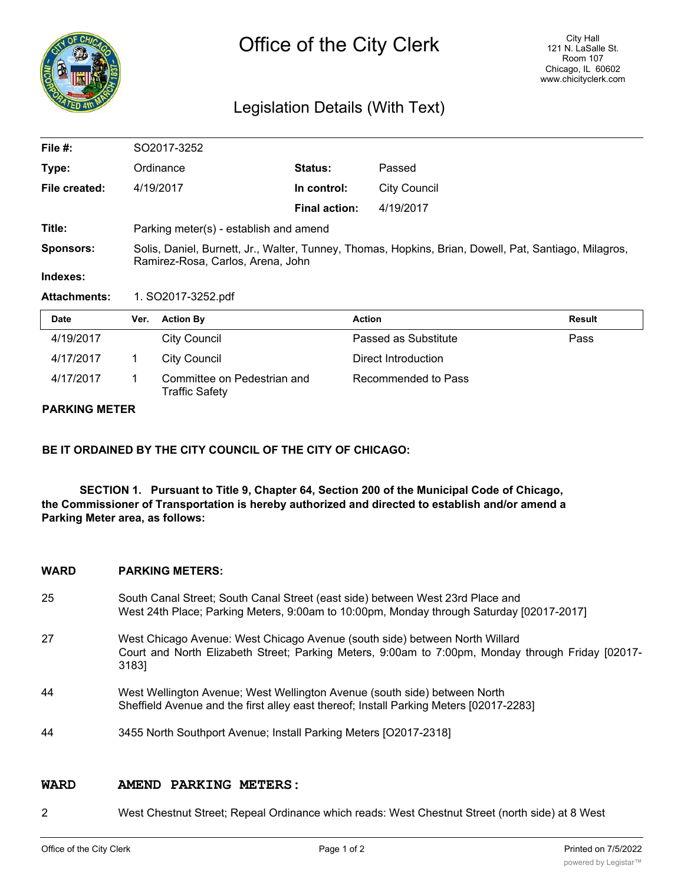

# Legislation Details (With Text)

| 4/19/2017           | <b>City Council</b>                                                                                                                        |                      | Passed as Substitute | Pass   |  |
|---------------------|--------------------------------------------------------------------------------------------------------------------------------------------|----------------------|----------------------|--------|--|
| <b>Date</b>         | <b>Action By</b><br>Ver.                                                                                                                   | <b>Action</b>        |                      | Result |  |
| <b>Attachments:</b> | 1. SO2017-3252.pdf                                                                                                                         |                      |                      |        |  |
| Indexes:            |                                                                                                                                            |                      |                      |        |  |
| <b>Sponsors:</b>    | Solis, Daniel, Burnett, Jr., Walter, Tunney, Thomas, Hopkins, Brian, Dowell, Pat, Santiago, Milagros,<br>Ramirez-Rosa, Carlos, Arena, John |                      |                      |        |  |
| Title:              | Parking meter(s) - establish and amend                                                                                                     |                      |                      |        |  |
|                     |                                                                                                                                            | <b>Final action:</b> | 4/19/2017            |        |  |
| File created:       | 4/19/2017                                                                                                                                  | In control:          | <b>City Council</b>  |        |  |
| Type:               | Ordinance                                                                                                                                  | Status:              | Passed               |        |  |
| File #:             | SO2017-3252                                                                                                                                |                      |                      |        |  |

| 4/17/2017 | City Council                                         | Direct Introduction |
|-----------|------------------------------------------------------|---------------------|
| 4/17/2017 | Committee on Pedestrian and<br><b>Traffic Safety</b> | Recommended to Pass |

### **PARKING METER**

**BE IT ORDAINED BY THE CITY COUNCIL OF THE CITY OF CHICAGO:**

**SECTION 1. Pursuant to Title 9, Chapter 64, Section 200 of the Municipal Code of Chicago, the Commissioner of Transportation is hereby authorized and directed to establish and/or amend a Parking Meter area, as follows:**

## **WARD PARKING METERS:**

- 25 South Canal Street; South Canal Street (east side) between West 23rd Place and West 24th Place; Parking Meters, 9:00am to 10:00pm, Monday through Saturday [02017-2017]
- 27 West Chicago Avenue: West Chicago Avenue (south side) between North Willard Court and North Elizabeth Street; Parking Meters, 9:00am to 7:00pm, Monday through Friday [02017- 3183]
- 44 West Wellington Avenue; West Wellington Avenue (south side) between North Sheffield Avenue and the first alley east thereof; Install Parking Meters [02017-2283]
- 44 3455 North Southport Avenue; Install Parking Meters [O2017-2318]

#### **WARD AMEND PARKING METERS:**

2 West Chestnut Street; Repeal Ordinance which reads: West Chestnut Street (north side) at 8 West